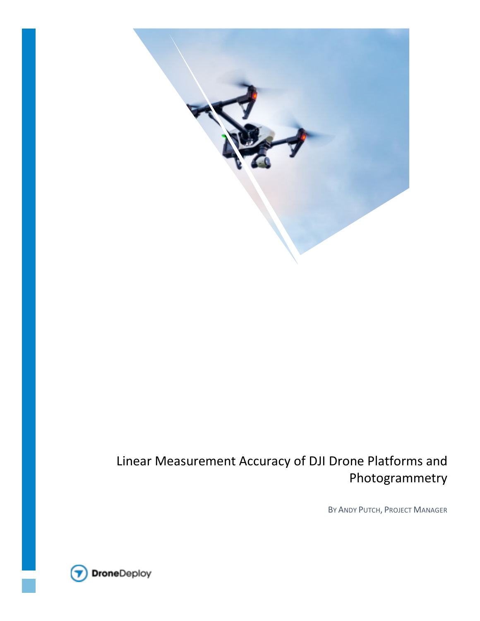

# Linear Measurement Accuracy of DJI Drone Platforms and Photogrammetry

BY ANDY PUTCH, PROJECT MANAGER

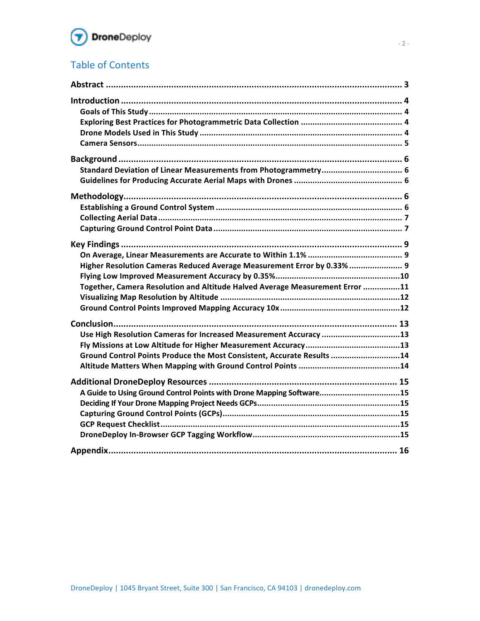

## **Table of Contents**

| Higher Resolution Cameras Reduced Average Measurement Error by 0.33%  9<br>Together, Camera Resolution and Altitude Halved Average Measurement Error 11<br>Use High Resolution Cameras for Increased Measurement Accuracy 13<br>Ground Control Points Produce the Most Consistent, Accurate Results 14<br>A Guide to Using Ground Control Points with Drone Mapping Software15 |  |
|--------------------------------------------------------------------------------------------------------------------------------------------------------------------------------------------------------------------------------------------------------------------------------------------------------------------------------------------------------------------------------|--|
|                                                                                                                                                                                                                                                                                                                                                                                |  |
|                                                                                                                                                                                                                                                                                                                                                                                |  |
|                                                                                                                                                                                                                                                                                                                                                                                |  |
|                                                                                                                                                                                                                                                                                                                                                                                |  |
|                                                                                                                                                                                                                                                                                                                                                                                |  |
|                                                                                                                                                                                                                                                                                                                                                                                |  |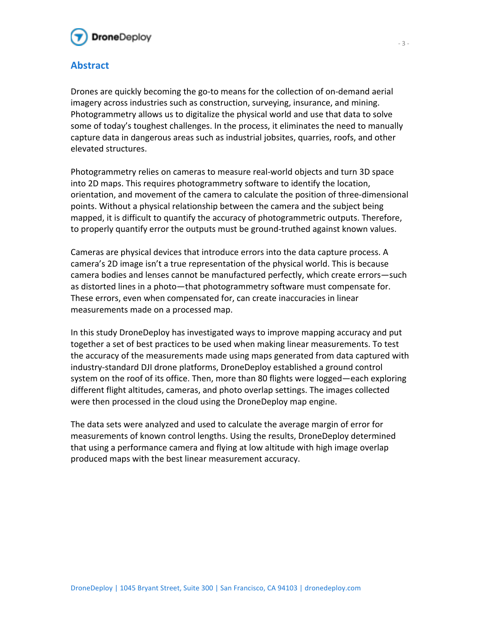

## **Abstract**

Drones are quickly becoming the go-to means for the collection of on-demand aerial imagery across industries such as construction, surveying, insurance, and mining. Photogrammetry allows us to digitalize the physical world and use that data to solve some of today's toughest challenges. In the process, it eliminates the need to manually capture data in dangerous areas such as industrial jobsites, quarries, roofs, and other elevated structures.

Photogrammetry relies on cameras to measure real-world objects and turn 3D space into 2D maps. This requires photogrammetry software to identify the location, orientation, and movement of the camera to calculate the position of three-dimensional points. Without a physical relationship between the camera and the subject being mapped, it is difficult to quantify the accuracy of photogrammetric outputs. Therefore, to properly quantify error the outputs must be ground-truthed against known values.

Cameras are physical devices that introduce errors into the data capture process. A camera's 2D image isn't a true representation of the physical world. This is because camera bodies and lenses cannot be manufactured perfectly, which create errors—such as distorted lines in a photo—that photogrammetry software must compensate for. These errors, even when compensated for, can create inaccuracies in linear measurements made on a processed map.

In this study DroneDeploy has investigated ways to improve mapping accuracy and put together a set of best practices to be used when making linear measurements. To test the accuracy of the measurements made using maps generated from data captured with industry-standard DJI drone platforms, DroneDeploy established a ground control system on the roof of its office. Then, more than 80 flights were logged—each exploring different flight altitudes, cameras, and photo overlap settings. The images collected were then processed in the cloud using the DroneDeploy map engine.

The data sets were analyzed and used to calculate the average margin of error for measurements of known control lengths. Using the results, DroneDeploy determined that using a performance camera and flying at low altitude with high image overlap produced maps with the best linear measurement accuracy.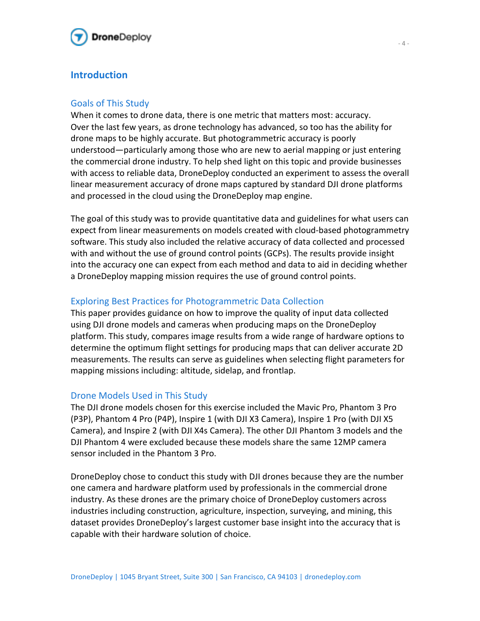

## **Introduction**

### Goals of This Study

When it comes to drone data, there is one metric that matters most: accuracy. Over the last few years, as drone technology has advanced, so too has the ability for drone maps to be highly accurate. But photogrammetric accuracy is poorly understood—particularly among those who are new to aerial mapping or just entering the commercial drone industry. To help shed light on this topic and provide businesses with access to reliable data, DroneDeploy conducted an experiment to assess the overall linear measurement accuracy of drone maps captured by standard DJI drone platforms and processed in the cloud using the DroneDeploy map engine.

The goal of this study was to provide quantitative data and guidelines for what users can expect from linear measurements on models created with cloud-based photogrammetry software. This study also included the relative accuracy of data collected and processed with and without the use of ground control points (GCPs). The results provide insight into the accuracy one can expect from each method and data to aid in deciding whether a DroneDeploy mapping mission requires the use of ground control points.

## Exploring Best Practices for Photogrammetric Data Collection

This paper provides guidance on how to improve the quality of input data collected using DJI drone models and cameras when producing maps on the DroneDeploy platform. This study, compares image results from a wide range of hardware options to determine the optimum flight settings for producing maps that can deliver accurate 2D measurements. The results can serve as guidelines when selecting flight parameters for mapping missions including: altitude, sidelap, and frontlap.

## Drone Models Used in This Study

The DJI drone models chosen for this exercise included the Mavic Pro, Phantom 3 Pro (P3P), Phantom 4 Pro (P4P), Inspire 1 (with DJI X3 Camera), Inspire 1 Pro (with DJI X5 Camera), and Inspire 2 (with DJI X4s Camera). The other DJI Phantom 3 models and the DJI Phantom 4 were excluded because these models share the same 12MP camera sensor included in the Phantom 3 Pro.

DroneDeploy chose to conduct this study with DJI drones because they are the number one camera and hardware platform used by professionals in the commercial drone industry. As these drones are the primary choice of DroneDeploy customers across industries including construction, agriculture, inspection, surveying, and mining, this dataset provides DroneDeploy's largest customer base insight into the accuracy that is capable with their hardware solution of choice.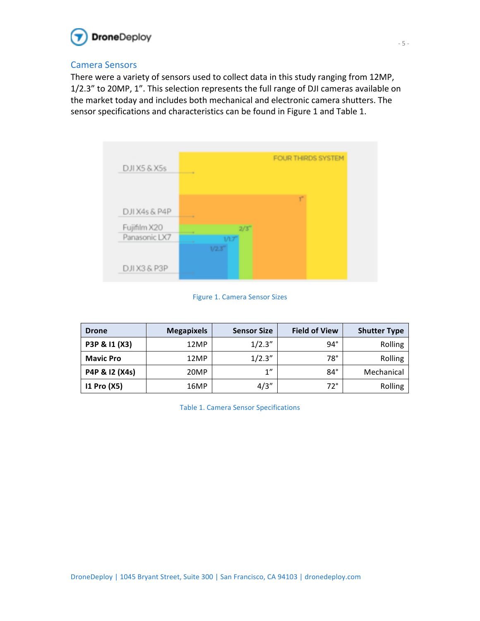

## Camera Sensors

There were a variety of sensors used to collect data in this study ranging from 12MP, 1/2.3" to 20MP, 1". This selection represents the full range of DJI cameras available on the market today and includes both mechanical and electronic camera shutters. The sensor specifications and characteristics can be found in Figure 1 and Table 1.



Figure 1. Camera Sensor Sizes

| <b>Drone</b>     | <b>Megapixels</b> | <b>Sensor Size</b> | <b>Field of View</b> | <b>Shutter Type</b> |
|------------------|-------------------|--------------------|----------------------|---------------------|
| P3P & I1 (X3)    | 12MP              | 1/2.3''            | $94^\circ$           | Rolling             |
| <b>Mavic Pro</b> | 12MP              | 1/2.3''            | $78^\circ$           | Rolling             |
| P4P & 12 (X4s)   | 20MP              | 1"                 | $84^\circ$           | Mechanical          |
| 11 Pro (X5)      | 16MP              | 4/3''              | $72^\circ$           | Rolling             |

Table 1. Camera Sensor Specifications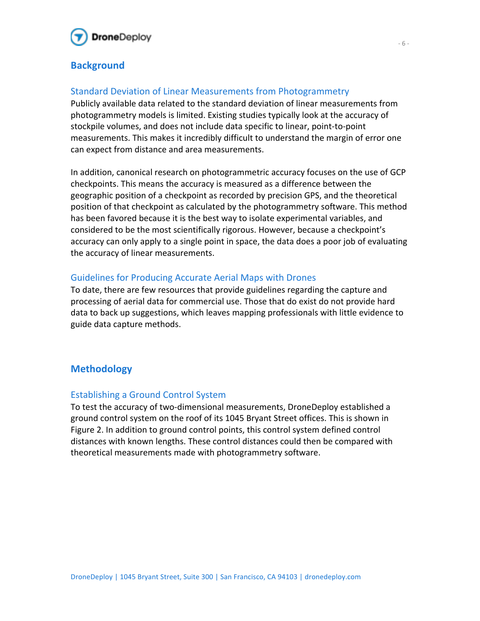

## **Background**

## Standard Deviation of Linear Measurements from Photogrammetry

Publicly available data related to the standard deviation of linear measurements from photogrammetry models is limited. Existing studies typically look at the accuracy of stockpile volumes, and does not include data specific to linear, point-to-point measurements. This makes it incredibly difficult to understand the margin of error one can expect from distance and area measurements.

In addition, canonical research on photogrammetric accuracy focuses on the use of GCP checkpoints. This means the accuracy is measured as a difference between the geographic position of a checkpoint as recorded by precision GPS, and the theoretical position of that checkpoint as calculated by the photogrammetry software. This method has been favored because it is the best way to isolate experimental variables, and considered to be the most scientifically rigorous. However, because a checkpoint's accuracy can only apply to a single point in space, the data does a poor job of evaluating the accuracy of linear measurements.

## Guidelines for Producing Accurate Aerial Maps with Drones

To date, there are few resources that provide guidelines regarding the capture and processing of aerial data for commercial use. Those that do exist do not provide hard data to back up suggestions, which leaves mapping professionals with little evidence to guide data capture methods.

## **Methodology**

## **Establishing a Ground Control System**

To test the accuracy of two-dimensional measurements, DroneDeploy established a ground control system on the roof of its 1045 Bryant Street offices. This is shown in Figure 2. In addition to ground control points, this control system defined control distances with known lengths. These control distances could then be compared with theoretical measurements made with photogrammetry software.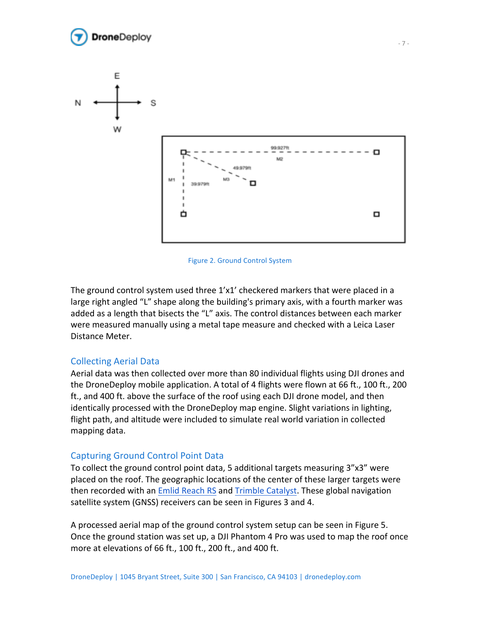





The ground control system used three  $1'x1'$  checkered markers that were placed in a large right angled "L" shape along the building's primary axis, with a fourth marker was added as a length that bisects the "L" axis. The control distances between each marker were measured manually using a metal tape measure and checked with a Leica Laser Distance Meter. 

### Collecting Aerial Data

Aerial data was then collected over more than 80 individual flights using DJI drones and the DroneDeploy mobile application. A total of 4 flights were flown at 66 ft., 100 ft., 200 ft., and 400 ft. above the surface of the roof using each DJI drone model, and then identically processed with the DroneDeploy map engine. Slight variations in lighting, flight path, and altitude were included to simulate real world variation in collected mapping data.

#### Capturing Ground Control Point Data

To collect the ground control point data, 5 additional targets measuring 3"x3" were placed on the roof. The geographic locations of the center of these larger targets were then recorded with an Emlid Reach RS and Trimble Catalyst. These global navigation satellite system (GNSS) receivers can be seen in Figures 3 and 4.

A processed aerial map of the ground control system setup can be seen in Figure 5. Once the ground station was set up, a DJI Phantom 4 Pro was used to map the roof once more at elevations of 66 ft., 100 ft., 200 ft., and 400 ft.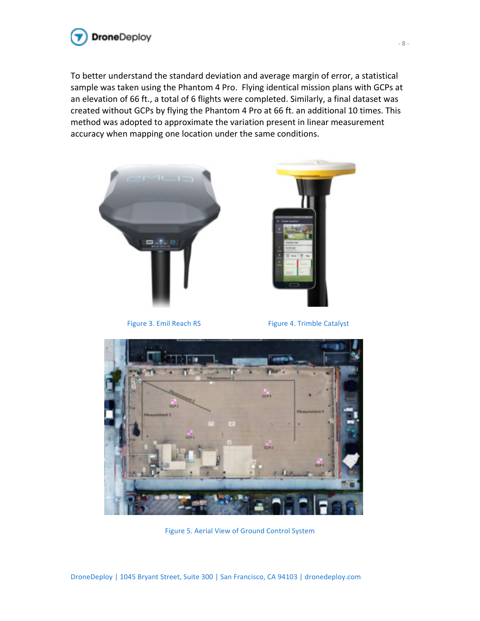

To better understand the standard deviation and average margin of error, a statistical sample was taken using the Phantom 4 Pro. Flying identical mission plans with GCPs at an elevation of 66 ft., a total of 6 flights were completed. Similarly, a final dataset was created without GCPs by flying the Phantom 4 Pro at 66 ft. an additional 10 times. This method was adopted to approximate the variation present in linear measurement accuracy when mapping one location under the same conditions.





Figure 3. Emil Reach RS Figure 4. Trimble Catalyst



Figure 5. Aerial View of Ground Control System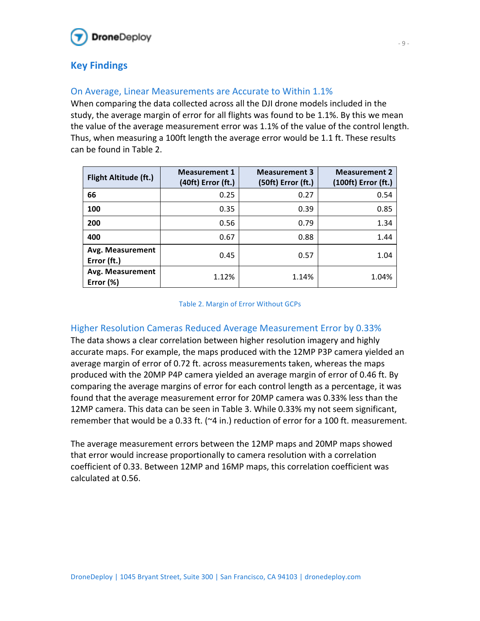

## **Key Findings**

## On Average, Linear Measurements are Accurate to Within 1.1%

When comparing the data collected across all the DJI drone models included in the study, the average margin of error for all flights was found to be 1.1%. By this we mean the value of the average measurement error was  $1.1%$  of the value of the control length. Thus, when measuring a 100ft length the average error would be 1.1 ft. These results can be found in Table 2. 

| <b>Flight Altitude (ft.)</b>    | <b>Measurement 1</b><br>(40ft) Error (ft.) | <b>Measurement 3</b><br>(50ft) Error (ft.) | <b>Measurement 2</b><br>(100ft) Error (ft.) |
|---------------------------------|--------------------------------------------|--------------------------------------------|---------------------------------------------|
| 66                              | 0.25                                       | 0.27                                       | 0.54                                        |
| 100                             | 0.35                                       | 0.39                                       | 0.85                                        |
| 200                             | 0.56                                       | 0.79                                       | 1.34                                        |
| 400                             | 0.67                                       | 0.88                                       | 1.44                                        |
| Avg. Measurement<br>Error (ft.) | 0.45                                       | 0.57                                       | 1.04                                        |
| Avg. Measurement<br>Error (%)   | 1.12%                                      | 1.14%                                      | 1.04%                                       |

#### Table 2. Margin of Error Without GCPs

## Higher Resolution Cameras Reduced Average Measurement Error by 0.33%

The data shows a clear correlation between higher resolution imagery and highly accurate maps. For example, the maps produced with the 12MP P3P camera yielded an average margin of error of 0.72 ft. across measurements taken, whereas the maps produced with the 20MP P4P camera yielded an average margin of error of 0.46 ft. By comparing the average margins of error for each control length as a percentage, it was found that the average measurement error for 20MP camera was 0.33% less than the 12MP camera. This data can be seen in Table 3. While 0.33% my not seem significant, remember that would be a 0.33 ft. ( $\approx$ 4 in.) reduction of error for a 100 ft. measurement.

The average measurement errors between the 12MP maps and 20MP maps showed that error would increase proportionally to camera resolution with a correlation coefficient of 0.33. Between 12MP and 16MP maps, this correlation coefficient was calculated at 0.56.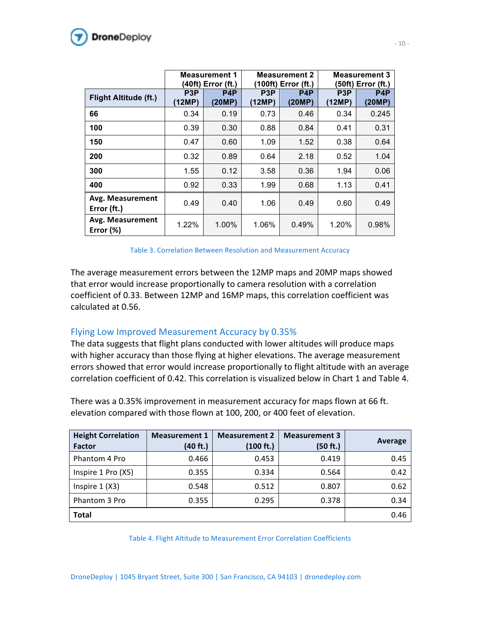

|                                  | <b>Measurement 1</b><br>(40ft) Error (ft.) |                            | <b>Measurement 2</b><br>(100ft) Error (ft.) |                            | <b>Measurement 3</b><br>50ft) Error (ft.) |                            |
|----------------------------------|--------------------------------------------|----------------------------|---------------------------------------------|----------------------------|-------------------------------------------|----------------------------|
| Flight Altitude (ft.)            | P <sub>3</sub> P<br>(12MP)                 | P <sub>4</sub> P<br>(20MP) | P3P<br>(12MP)                               | P <sub>4</sub> P<br>(20MP) | P <sub>3</sub> P<br><b>12MP)</b>          | P <sub>4</sub> P<br>(20MP) |
| 66                               | 0.34                                       | 0.19                       | 0.73                                        | 0.46                       | 0.34                                      | 0.245                      |
| 100                              | 0.39                                       | 0.30                       | 0.88                                        | 0.84                       | 0.41                                      | 0.31                       |
| 150                              | 0.47                                       | 0.60                       | 1.09                                        | 1.52                       | 0.38                                      | 0.64                       |
| 200                              | 0.32                                       | 0.89                       | 0.64                                        | 2.18                       | 0.52                                      | 1.04                       |
| 300                              | 1.55                                       | 0.12                       | 3.58                                        | 0.36                       | 1.94                                      | 0.06                       |
| 400                              | 0.92                                       | 0.33                       | 1.99                                        | 0.68                       | 1.13                                      | 0.41                       |
| Avg. Measurement<br>Error (ft.)  | 0.49                                       | 0.40                       | 1.06                                        | 0.49                       | 0.60                                      | 0.49                       |
| Avg. Measurement<br>Error $(\%)$ | 1.22%                                      | 1.00%                      | 1.06%                                       | 0.49%                      | 1.20%                                     | 0.98%                      |

Table 3. Correlation Between Resolution and Measurement Accuracy

The average measurement errors between the 12MP maps and 20MP maps showed that error would increase proportionally to camera resolution with a correlation coefficient of 0.33. Between 12MP and 16MP maps, this correlation coefficient was calculated at 0.56.

### Flying Low Improved Measurement Accuracy by 0.35%

The data suggests that flight plans conducted with lower altitudes will produce maps with higher accuracy than those flying at higher elevations. The average measurement errors showed that error would increase proportionally to flight altitude with an average correlation coefficient of 0.42. This correlation is visualized below in Chart 1 and Table 4.

There was a 0.35% improvement in measurement accuracy for maps flown at 66 ft. elevation compared with those flown at 100, 200, or 400 feet of elevation.

| <b>Height Correlation</b><br><b>Factor</b> | <b>Measurement 1</b><br>(40 ft.) | <b>Measurement 2</b><br>(100 ft.) | <b>Measurement 3</b><br>(50 ft.) | Average |
|--------------------------------------------|----------------------------------|-----------------------------------|----------------------------------|---------|
| Phantom 4 Pro                              | 0.466                            | 0.453                             | 0.419                            | 0.45    |
| Inspire 1 Pro (X5)                         | 0.355                            | 0.334                             | 0.564                            | 0.42    |
| Inspire $1(X3)$                            | 0.548                            | 0.512                             | 0.807                            | 0.62    |
| Phantom 3 Pro                              | 0.355                            | 0.295                             | 0.378                            | 0.34    |
| <b>Total</b>                               |                                  |                                   |                                  | 0.46    |

Table 4. Flight Altitude to Measurement Error Correlation Coefficients

DroneDeploy | 1045 Bryant Street, Suite 300 | San Francisco, CA 94103 | dronedeploy.com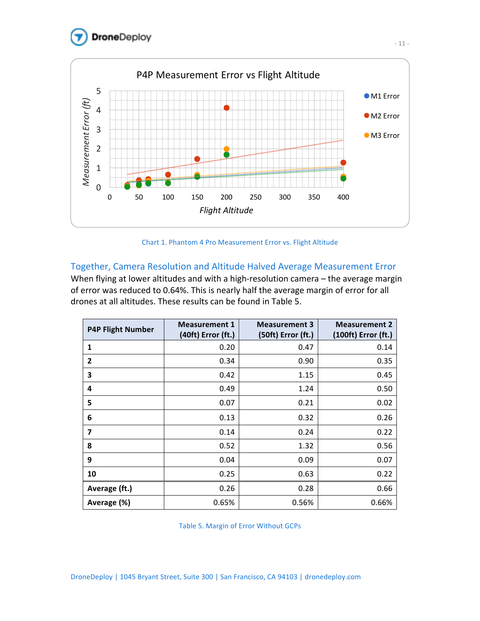



Chart 1. Phantom 4 Pro Measurement Error vs. Flight Altitude

### Together, Camera Resolution and Altitude Halved Average Measurement Error

When flying at lower altitudes and with a high-resolution camera  $-$  the average margin of error was reduced to 0.64%. This is nearly half the average margin of error for all drones at all altitudes. These results can be found in Table 5.

| <b>P4P Flight Number</b> | <b>Measurement 1</b><br>(40ft) Error (ft.) | <b>Measurement 3</b><br>(50ft) Error (ft.) | <b>Measurement 2</b><br>(100ft) Error (ft.) |
|--------------------------|--------------------------------------------|--------------------------------------------|---------------------------------------------|
| 1                        | 0.20                                       | 0.47                                       | 0.14                                        |
| $\overline{2}$           | 0.34                                       | 0.90                                       | 0.35                                        |
| 3                        | 0.42                                       | 1.15                                       | 0.45                                        |
| 4                        | 0.49                                       | 1.24                                       | 0.50                                        |
| 5                        | 0.07                                       | 0.21                                       | 0.02                                        |
| 6                        | 0.13                                       | 0.32                                       | 0.26                                        |
| $\overline{\mathbf{z}}$  | 0.14                                       | 0.24                                       | 0.22                                        |
| 8                        | 0.52                                       | 1.32                                       | 0.56                                        |
| 9                        | 0.04                                       | 0.09                                       | 0.07                                        |
| 10                       | 0.25                                       | 0.63                                       | 0.22                                        |
| Average (ft.)            | 0.26                                       | 0.28                                       | 0.66                                        |
| Average (%)              | 0.65%                                      | 0.56%                                      | 0.66%                                       |

Table 5. Margin of Error Without GCPs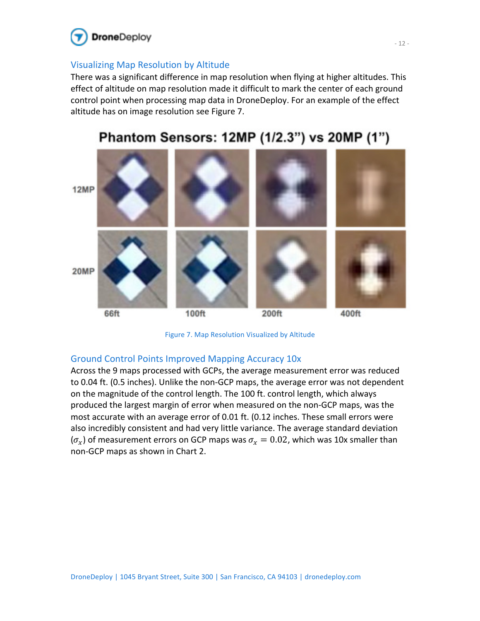

## Visualizing Map Resolution by Altitude

There was a significant difference in map resolution when flying at higher altitudes. This effect of altitude on map resolution made it difficult to mark the center of each ground control point when processing map data in DroneDeploy. For an example of the effect altitude has on image resolution see Figure 7.



# Phantom Sensors: 12MP (1/2.3") vs 20MP (1")

Figure 7. Map Resolution Visualized by Altitude

## Ground Control Points Improved Mapping Accuracy 10x

Across the 9 maps processed with GCPs, the average measurement error was reduced to 0.04 ft. (0.5 inches). Unlike the non-GCP maps, the average error was not dependent on the magnitude of the control length. The 100 ft. control length, which always produced the largest margin of error when measured on the non-GCP maps, was the most accurate with an average error of 0.01 ft. (0.12 inches. These small errors were also incredibly consistent and had very little variance. The average standard deviation  $(\sigma_x)$  of measurement errors on GCP maps was  $\sigma_x = 0.02$ , which was 10x smaller than non-GCP maps as shown in Chart 2.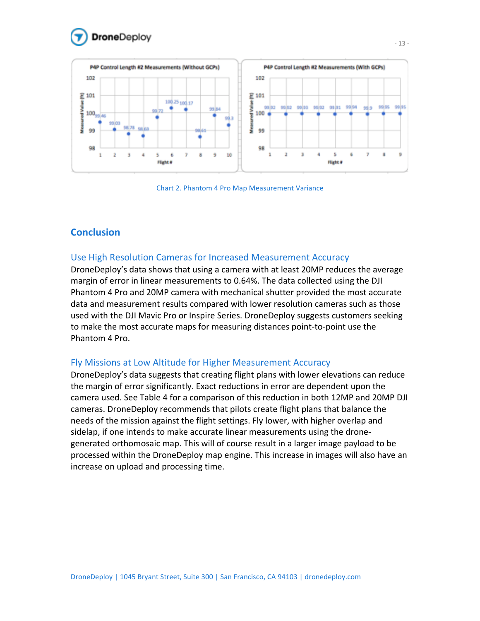





## **Conclusion**

### Use High Resolution Cameras for Increased Measurement Accuracy

DroneDeploy's data shows that using a camera with at least 20MP reduces the average margin of error in linear measurements to 0.64%. The data collected using the DJI Phantom 4 Pro and 20MP camera with mechanical shutter provided the most accurate data and measurement results compared with lower resolution cameras such as those used with the DJI Mavic Pro or Inspire Series. DroneDeploy suggests customers seeking to make the most accurate maps for measuring distances point-to-point use the Phantom 4 Pro.

### Fly Missions at Low Altitude for Higher Measurement Accuracy

DroneDeploy's data suggests that creating flight plans with lower elevations can reduce the margin of error significantly. Exact reductions in error are dependent upon the camera used. See Table 4 for a comparison of this reduction in both 12MP and 20MP DJI cameras. DroneDeploy recommends that pilots create flight plans that balance the needs of the mission against the flight settings. Fly lower, with higher overlap and sidelap, if one intends to make accurate linear measurements using the dronegenerated orthomosaic map. This will of course result in a larger image payload to be processed within the DroneDeploy map engine. This increase in images will also have an increase on upload and processing time.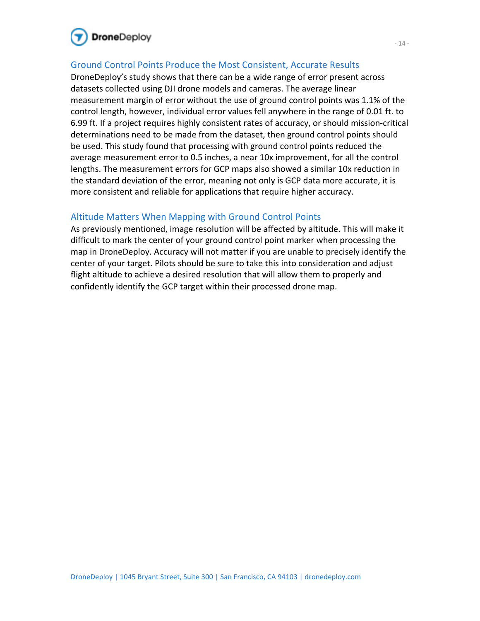

## Ground Control Points Produce the Most Consistent, Accurate Results

DroneDeploy's study shows that there can be a wide range of error present across datasets collected using DJI drone models and cameras. The average linear measurement margin of error without the use of ground control points was 1.1% of the control length, however, individual error values fell anywhere in the range of 0.01 ft. to 6.99 ft. If a project requires highly consistent rates of accuracy, or should mission-critical determinations need to be made from the dataset, then ground control points should be used. This study found that processing with ground control points reduced the average measurement error to 0.5 inches, a near 10x improvement, for all the control lengths. The measurement errors for GCP maps also showed a similar 10x reduction in the standard deviation of the error, meaning not only is GCP data more accurate, it is more consistent and reliable for applications that require higher accuracy.

#### Altitude Matters When Mapping with Ground Control Points

As previously mentioned, image resolution will be affected by altitude. This will make it difficult to mark the center of your ground control point marker when processing the map in DroneDeploy. Accuracy will not matter if you are unable to precisely identify the center of your target. Pilots should be sure to take this into consideration and adjust flight altitude to achieve a desired resolution that will allow them to properly and confidently identify the GCP target within their processed drone map.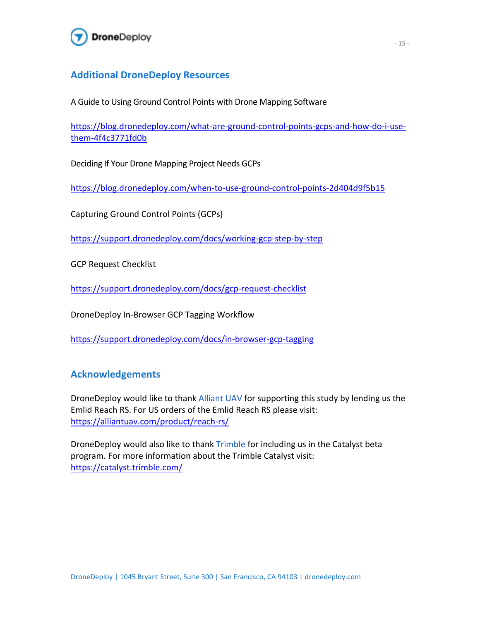

## **Additional DroneDeploy Resources**

A Guide to Using Ground Control Points with Drone Mapping Software

https://blog.dronedeploy.com/what-are-ground-control-points-gcps-and-how-do-i-usethem-4f4c3771fd0b 

Deciding If Your Drone Mapping Project Needs GCPs

https://blog.dronedeploy.com/when-to-use-ground-control-points-2d404d9f5b15 

Capturing Ground Control Points (GCPs)

https://support.dronedeploy.com/docs/working-gcp-step-by-step 

**GCP Request Checklist** 

https://support.dronedeploy.com/docs/gcp-request-checklist

DroneDeploy In-Browser GCP Tagging Workflow

https://support.dronedeploy.com/docs/in-browser-gcp-tagging 

## **Acknowledgements**

DroneDeploy would like to thank Alliant UAV for supporting this study by lending us the Emlid Reach RS. For US orders of the Emlid Reach RS please visit: https://alliantuav.com/product/reach-rs/ 

DroneDeploy would also like to thank Trimble for including us in the Catalyst beta program. For more information about the Trimble Catalyst visit: https://catalyst.trimble.com/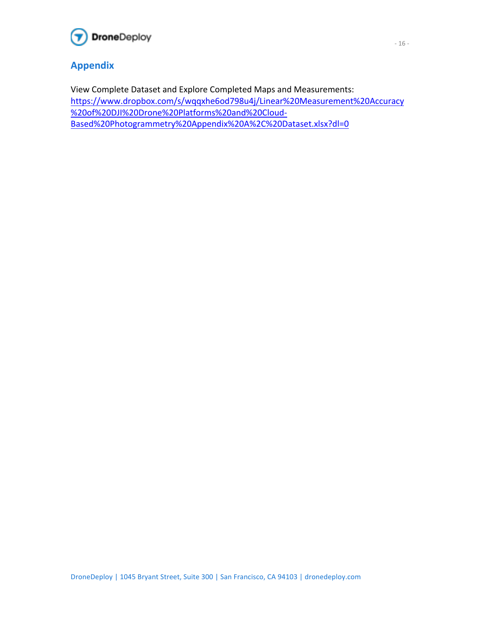

## **Appendix**

View Complete Dataset and Explore Completed Maps and Measurements: https://www.dropbox.com/s/wqqxhe6od798u4j/Linear%20Measurement%20Accuracy %20of%20DJI%20Drone%20Platforms%20and%20Cloud-Based%20Photogrammetry%20Appendix%20A%2C%20Dataset.xlsx?dl=0